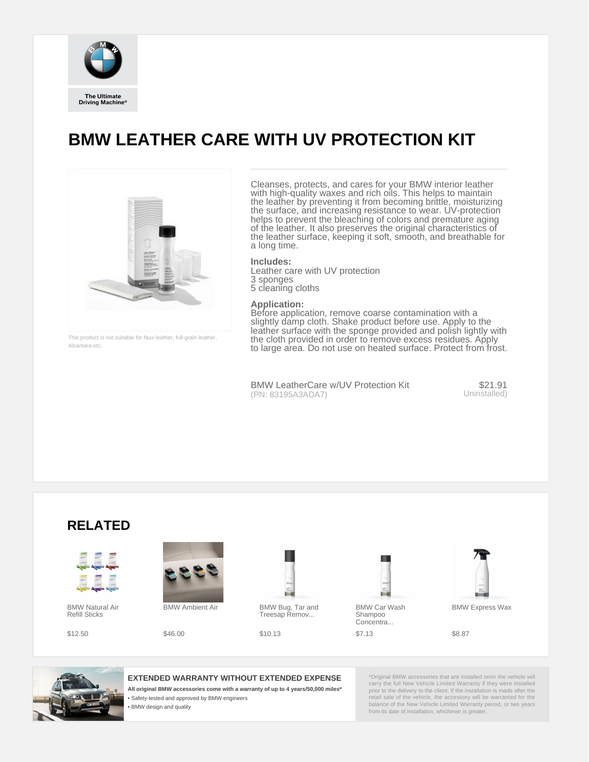

**The Ultimate Driving Machine®** 

## **BMW LEATHER CARE WITH UV PROTECTION KIT**



This product is not suitable for faux leather, full-grain leather, Alcantara etc.

Cleanses, protects, and cares for your BMW interior leather with high-quality waxes and rich oils. This helps to maintain the leather by preventing it from becoming brittle, moisturizing the surface, and increasing resistance to wear. UV-protection helps to prevent the bleaching of colors and premature aging of the leather. It also preserves the original characteristics of the leather surface, keeping it soft, smooth, and breathable for a long time.

**Includes:**

Leather care with UV protection 3 sponges 5 cleaning cloths

## **Application:**

- Safety-tested and approved by BMW engineers
- **BMW** design and quality

Before application, remove coarse contamination with a slightly damp cloth. Shake product before use. Apply to the leather surface with the sponge provided and polish lightly with the cloth provided in order to remove excess residues. Apply to large area. Do not use on heated surface. Protect from frost.





## **EXTENDED WARRANTY WITHOUT EXTENDED EXPENSE**

**All original BMW accessories come with a warranty of up to 4 years/50,000 miles\***

\*Original BMW accessories that are installed on/in the vehicle will carry the full New Vehicle Limited Warranty if they were installed prior to the delivery to the client. If the installation is made after the retail sale of the vehicle, the accessory will be warranted for the balance of the New Vehicle Limited Warranty period, or two years from its date of installation, whichever is greater.